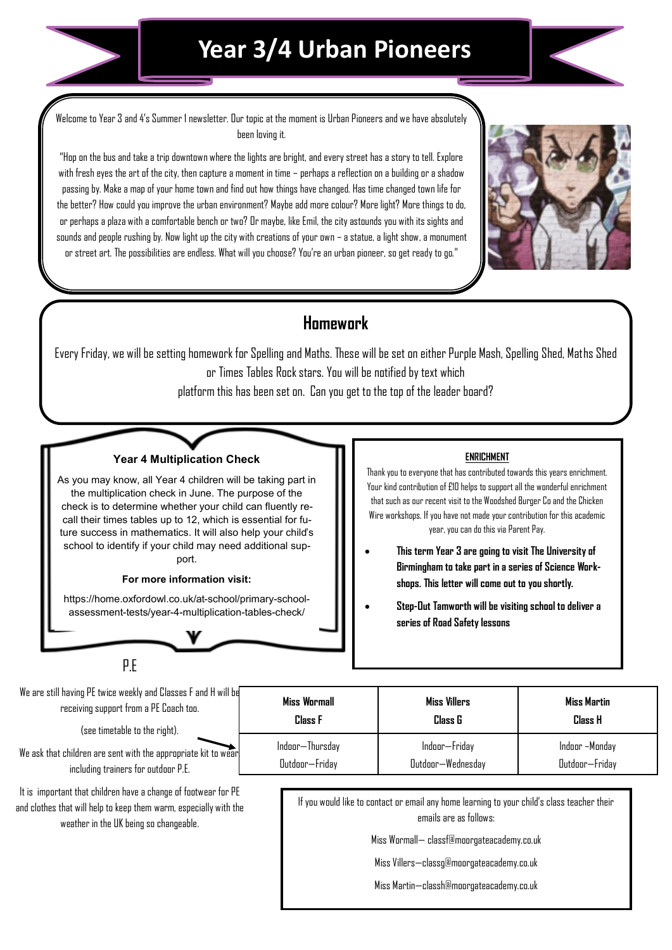

## **Year 3/4 Urban Pioneers**

Welcome to Year 3 and 4's Summer 1 newsletter. Our topic at the moment is Urban Pioneers and we have absolutely been loving it.

"Hop on the bus and take a trip downtown where the lights are bright, and every street has a story to tell. Explore with fresh eyes the art of the city, then capture a moment in time – perhaps a reflection on a building or a shadow passing by. Make a map of your home town and find out how things have changed. Has time changed town life for the better? How could you improve the urban environment? Maybe add more colour? More light? More things to do, or perhaps a plaza with a comfortable bench or two? Or maybe, like Emil, the city astounds you with its sights and sounds and people rushing by. Now light up the city with creations of your own – a statue, a light show, a monument or street art. The possibilities are endless. What will you choose? You're an urban pioneer, so get ready to go."



### **Homework**

Every Friday, we will be setting homework for Spelling and Maths. These will be set on either Purple Mash, Spelling Shed, Maths Shed or Times Tables Rock stars. You will be notified by text which platform this has been set on. Can you get to the top of the leader board?

#### **Year 4 Multiplication Check**

As you may know, all Year 4 children will be taking part in the multiplication check in June. The purpose of the check is to determine whether your child can fluently recall their times tables up to 12, which is essential for future success in mathematics. It will also help your child's school to identify if your child may need additional support.

#### **For more information visit:**

https://home.oxfordowl.co.uk/at-school/primary-schoolassessment-tests/year-4-multiplication-tables-check/

#### P.E

We are still having PE twice weekly and Classes F and H will be receiving support from a PE Coach too.

(see timetable to the right).

We ask that children are sent with the appropriate kit to wear including trainers for outdoor P.E.

It is important that children have a change of footwear for PE and clothes that will help to keep them warm, especially with the weather in the UK being so changeable.

#### **ENRICHMENT**

Thank you to everyone that has contributed towards this years enrichment. Your kind contribution of £10 helps to support all the wonderful enrichment that such as our recent visit to the Woodshed Burger Co and the Chicken Wire workshops. If you have not made your contribution for this academic year, you can do this via Parent Pay.

- **This term Year 3 are going to visit The University of Birmingham to take part in a series of Science Workshops. This letter will come out to you shortly.**
- **Step-Out Tamworth will be visiting school to deliver a series of Road Safety lessons**

| Miss Wormall    | <b>Miss Villers</b> | Miss Martin    |
|-----------------|---------------------|----------------|
| <b>Class F</b>  | Class G             | <b>Class H</b> |
| Indoor-Thursday | Indoor-Friday       | Indoor -Monday |
| Outdoor-Friday  | Dutdoor-Wednesday   | Outdoor-Friday |

If you would like to contact or email any home learning to your child's class teacher their emails are as follows:

Miss Wormall— classf@moorgateacademy.co.uk

Miss Villers—classg@moorgateacademy.co.uk

Miss Martin—classh@moorgateacademy.co.uk